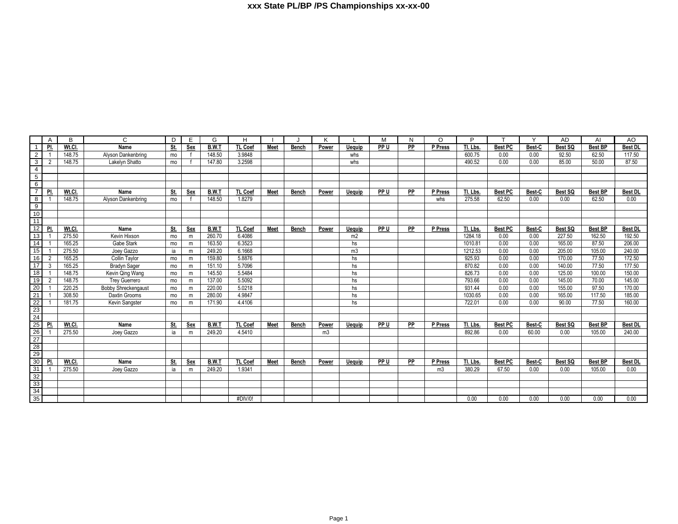|                                                                                       | Α              | B      | C                          | D   | E.  | G            | Н              |             |       | K              |                | м    | N  | O              | P        |                | $\checkmark$ | <b>AD</b> | AI             | AO.            |
|---------------------------------------------------------------------------------------|----------------|--------|----------------------------|-----|-----|--------------|----------------|-------------|-------|----------------|----------------|------|----|----------------|----------|----------------|--------------|-----------|----------------|----------------|
| -1                                                                                    | PI.            | Wt.Cl  | Name                       | St. | Sex | B.W.1        | <b>TL Coef</b> | <b>Meet</b> | Bench | Power          | <b>Ueguip</b>  | PP U | PP | P Press        | Tl. Lbs. | <b>Best PC</b> | Best-C       | Best SQ   | <b>Best BP</b> | Best DL        |
| 2                                                                                     |                | 148.75 | Alyson Dankenbring         | mo  |     | 148.50       | 3.9848         |             |       |                | whs            |      |    |                | 600.75   | 0.00           | 0.00         | 92.50     | 62.50          | 117.50         |
| 3                                                                                     | $\overline{2}$ | 148.75 | Lakelyn Shatto             | mo  |     | 147.80       | 3.2598         |             |       |                | whs            |      |    |                | 490.52   | 0.00           | 0.00         | 85.00     | 50.00          | 87.50          |
| $\overline{4}$                                                                        |                |        |                            |     |     |              |                |             |       |                |                |      |    |                |          |                |              |           |                |                |
| 5                                                                                     |                |        |                            |     |     |              |                |             |       |                |                |      |    |                |          |                |              |           |                |                |
| 6                                                                                     |                |        |                            |     |     |              |                |             |       |                |                |      |    |                |          |                |              |           |                |                |
| $\overline{7}$                                                                        | PI.            | Wt.Cl. | Name                       | St. | Sex | <b>B.W.T</b> | <b>TL Coef</b> | <b>Meet</b> | Bench | Power          | Uequip         | PP U | PP | P Press        | Tl. Lbs. | <b>Best PC</b> | Best-C       | Best SQ   | <b>Best BP</b> | <b>Best DL</b> |
| 8                                                                                     |                | 148.75 | Alyson Dankenbring         | mo  |     | 148.50       | 1.8279         |             |       |                |                |      |    | whs            | 275.58   | 62.50          | 0.00         | 0.00      | 62.50          | 0.00           |
| $\overline{9}$                                                                        |                |        |                            |     |     |              |                |             |       |                |                |      |    |                |          |                |              |           |                |                |
| 10                                                                                    |                |        |                            |     |     |              |                |             |       |                |                |      |    |                |          |                |              |           |                |                |
| $\overline{11}$                                                                       |                |        |                            |     |     |              |                |             |       |                |                |      |    |                |          |                |              |           |                |                |
| 12                                                                                    | PI.            | Wt.Cl. | Name                       | St. | Sex | <b>B.W.T</b> | <b>TL Coef</b> | <b>Meet</b> | Bench | Power          | Uequip         | PP U | PP | P Press        | Tl. Lbs. | <b>Best PC</b> | Best-C       | Best SQ   | <b>Best BP</b> | <b>Best DL</b> |
| 13                                                                                    |                | 275.50 | Kevin Hixson               | mo  | m   | 260.70       | 6.4086         |             |       |                | m <sub>2</sub> |      |    |                | 1284.18  | 0.00           | 0.00         | 227.50    | 162.50         | 192.50         |
| $\overline{14}$                                                                       |                | 165.25 | Gabe Stark                 | mo  | m   | 163.50       | 6.3523         |             |       |                | hs             |      |    |                | 1010.81  | 0.00           | 0.00         | 165.00    | 87.50          | 206.00         |
| 15                                                                                    |                | 275.50 | Joey Gazzo                 | ia  | m   | 249.20       | 6.1668         |             |       |                | m3             |      |    |                | 1212.53  | 0.00           | 0.00         | 205.00    | 105.00         | 240.00         |
| 16                                                                                    | $\overline{2}$ | 165.25 | Collin Taylor              | mo  | m   | 159.80       | 5.8876         |             |       |                | hs             |      |    |                | 925.93   | 0.00           | 0.00         | 170.00    | 77.50          | 172.50         |
| $\overline{17}$                                                                       | $\overline{3}$ | 165.25 | <b>Bradyn Sager</b>        | mo  | m   | 151.10       | 5.7096         |             |       |                | hs             |      |    |                | 870.82   | 0.00           | 0.00         | 140.00    | 77.50          | 177.50         |
| $\overline{18}$                                                                       | $\overline{1}$ | 148.75 | Kevin Qing Wang            | mo  | m   | 145.50       | 5.5484         |             |       |                | hs             |      |    |                | 826.73   | 0.00           | 0.00         | 125.00    | 100.00         | 150.00         |
| 19                                                                                    | $\overline{2}$ | 148.75 | <b>Trey Guerrero</b>       | mo  | m   | 137.00       | 5.5092         |             |       |                | hs             |      |    |                | 793.66   | 0.00           | 0.00         | 145.00    | 70.00          | 145.00         |
| $\begin{array}{r}\n 20 \\  \hline\n 21 \\  \hline\n 22\n \end{array}$                 |                | 220.25 | <b>Bobby Shreckengaust</b> | mo  | m   | 220.00       | 5.0218         |             |       |                | hs             |      |    |                | 931.44   | 0.00           | 0.00         | 155.00    | 97.50          | 170.00         |
|                                                                                       |                | 308.50 | Daxtin Grooms              | mo  | m   | 280.00       | 4.9847         |             |       |                | hs             |      |    |                | 1030.65  | 0.00           | 0.00         | 165.00    | 117.50         | 185.00         |
|                                                                                       |                | 181.75 | Kevin Sangster             | mo  | m   | 171.90       | 4.4106         |             |       |                | hs             |      |    |                | 722.01   | 0.00           | 0.00         | 90.00     | 77.50          | 160.00         |
| $\frac{23}{24}$                                                                       |                |        |                            |     |     |              |                |             |       |                |                |      |    |                |          |                |              |           |                |                |
|                                                                                       |                |        |                            |     |     |              |                |             |       |                |                |      |    |                |          |                |              |           |                |                |
| 25                                                                                    | PI.            | Wt.CI  | Name                       | St. | Sex | <b>B.W.T</b> | <b>TL Coef</b> | Meet        | Bench | Power          | <b>Uequip</b>  | PP U | PP | P Press        | Tl. Lbs. | <b>Best PC</b> | Best-C       | Best SQ   | <b>Best BP</b> | <b>Best DL</b> |
| $\begin{array}{r}\n 26 \\  \hline\n 27 \\  \hline\n 28 \\  \hline\n 29\n \end{array}$ |                | 275.50 | Joey Gazzo                 | ia  | m   | 249.20       | 4.5410         |             |       | m <sub>3</sub> |                |      |    |                | 892.86   | 0.00           | 60.00        | 0.00      | 105.00         | 240.00         |
|                                                                                       |                |        |                            |     |     |              |                |             |       |                |                |      |    |                |          |                |              |           |                |                |
|                                                                                       |                |        |                            |     |     |              |                |             |       |                |                |      |    |                |          |                |              |           |                |                |
|                                                                                       |                |        |                            |     |     |              |                |             |       |                |                |      |    |                |          |                |              |           |                |                |
| $\frac{1}{30}$                                                                        | PI.            | Wt.Cl. | Name                       | St. | Sex | <b>B.W.T</b> | <b>TL Coef</b> | <b>Meet</b> | Bench | Power          | Uequip         | PP U | PP | P Press        | Tl. Lbs. | <b>Best PC</b> | Best-C       | Best SQ   | <b>Best BP</b> | <b>Best DL</b> |
|                                                                                       |                | 275.50 | Joey Gazzo                 | ia  | m   | 249.20       | 1.9341         |             |       |                |                |      |    | m <sub>3</sub> | 380.29   | 67.50          | 0.00         | 0.00      | 105.00         | 0.00           |
|                                                                                       |                |        |                            |     |     |              |                |             |       |                |                |      |    |                |          |                |              |           |                |                |
| $\frac{31}{33}$                                                                       |                |        |                            |     |     |              |                |             |       |                |                |      |    |                |          |                |              |           |                |                |
|                                                                                       |                |        |                            |     |     |              |                |             |       |                |                |      |    |                |          |                |              |           |                |                |
|                                                                                       |                |        |                            |     |     |              | #DIV/0!        |             |       |                |                |      |    |                | 0.00     | 0.00           | 0.00         | 0.00      | 0.00           | 0.00           |